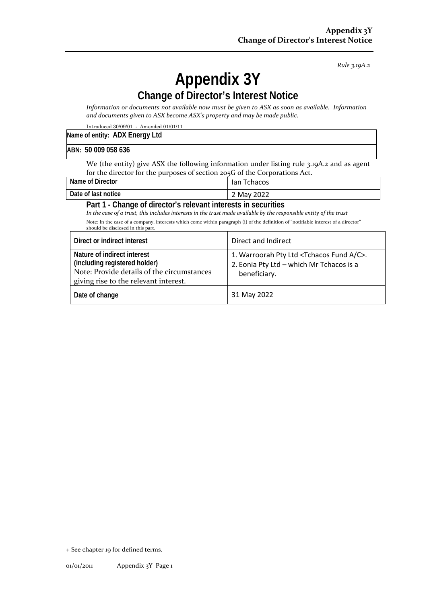*Rule 3.19A.2*

## **Appendix 3Y Change of Director's Interest Notice**

*Information or documents not available now must be given to ASX as soon as available. Information and documents given to ASX become ASX's property and may be made public.*

Introduced 30/09/01 - Amended 01/01/11

## **ABN: 50 009 058 636**

We (the entity) give ASX the following information under listing rule 3.19A.2 and as agent for the director for the purposes of section 205G of the Corporations Act.

| Name of Director                                                                    | lan Tchacos |  |
|-------------------------------------------------------------------------------------|-------------|--|
| Date of last notice                                                                 | 2 May 2022  |  |
| Part 1 - Change of director's relevant interests in securities<br>$\cdots$ $\cdots$ |             |  |

*In the case of a trust, this includes interests in the trust made available by the responsible entity of the trust* Note: In the case of a company, interests which come within paragraph (i) of the definition of "notifiable interest of a director" should be disclosed in this part.

| Direct or indirect interest                                                                                                                         | Direct and Indirect                                                                                                       |
|-----------------------------------------------------------------------------------------------------------------------------------------------------|---------------------------------------------------------------------------------------------------------------------------|
| Nature of indirect interest<br>(including registered holder)<br>Note: Provide details of the circumstances<br>giving rise to the relevant interest. | 1. Warroorah Pty Ltd <tchacos a="" c="" fund="">.<br/>2. Eonia Pty Ltd - which Mr Tchacos is a<br/>beneficiary.</tchacos> |
| Date of change                                                                                                                                      | 31 May 2022                                                                                                               |

<sup>+</sup> See chapter 19 for defined terms.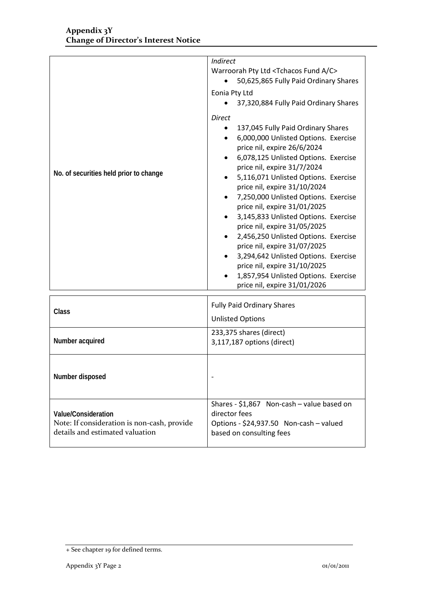|                                             | Indirect<br>Warroorah Pty Ltd <tchacos a="" c="" fund=""></tchacos>               |  |
|---------------------------------------------|-----------------------------------------------------------------------------------|--|
|                                             | 50,625,865 Fully Paid Ordinary Shares                                             |  |
|                                             | Eonia Pty Ltd                                                                     |  |
|                                             | 37,320,884 Fully Paid Ordinary Shares                                             |  |
|                                             | <b>Direct</b>                                                                     |  |
|                                             | 137,045 Fully Paid Ordinary Shares                                                |  |
|                                             | 6,000,000 Unlisted Options. Exercise<br>$\bullet$                                 |  |
|                                             | price nil, expire 26/6/2024                                                       |  |
|                                             | 6,078,125 Unlisted Options. Exercise                                              |  |
| No. of securities held prior to change      | price nil, expire 31/7/2024                                                       |  |
|                                             | 5,116,071 Unlisted Options. Exercise                                              |  |
|                                             | price nil, expire 31/10/2024<br>7,250,000 Unlisted Options. Exercise<br>$\bullet$ |  |
|                                             | price nil, expire 31/01/2025                                                      |  |
|                                             | 3,145,833 Unlisted Options. Exercise                                              |  |
|                                             | price nil, expire 31/05/2025                                                      |  |
|                                             | 2,456,250 Unlisted Options. Exercise                                              |  |
|                                             | price nil, expire 31/07/2025                                                      |  |
|                                             | 3,294,642 Unlisted Options. Exercise                                              |  |
|                                             | price nil, expire 31/10/2025<br>1,857,954 Unlisted Options. Exercise              |  |
|                                             | price nil, expire 31/01/2026                                                      |  |
|                                             |                                                                                   |  |
| Class                                       | <b>Fully Paid Ordinary Shares</b>                                                 |  |
|                                             | <b>Unlisted Options</b>                                                           |  |
|                                             | 233,375 shares (direct)                                                           |  |
| Number acquired                             | 3,117,187 options (direct)                                                        |  |
|                                             |                                                                                   |  |
|                                             |                                                                                   |  |
| Number disposed                             |                                                                                   |  |
|                                             |                                                                                   |  |
|                                             | Shares - \$1,867 Non-cash - value based on                                        |  |
| <b>Value/Consideration</b>                  | director fees                                                                     |  |
| Note: If consideration is non-cash, provide | Options - \$24,937.50 Non-cash - valued                                           |  |
| details and estimated valuation             | based on consulting fees                                                          |  |
|                                             |                                                                                   |  |

<sup>+</sup> See chapter 19 for defined terms.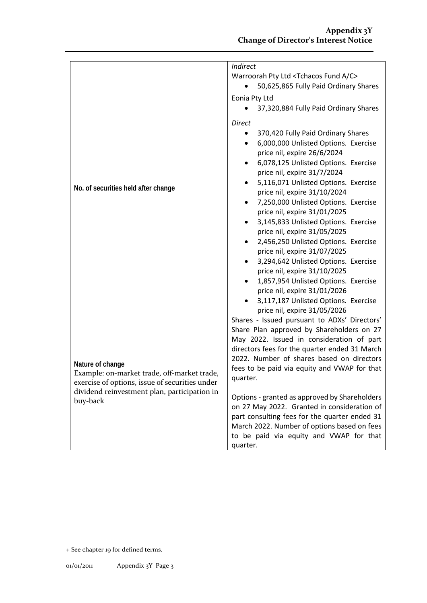|                                                                                                                                                                   | <i>Indirect</i><br>Warroorah Pty Ltd <tchacos a="" c="" fund=""><br/>50,625,865 Fully Paid Ordinary Shares</tchacos> |  |
|-------------------------------------------------------------------------------------------------------------------------------------------------------------------|----------------------------------------------------------------------------------------------------------------------|--|
|                                                                                                                                                                   |                                                                                                                      |  |
|                                                                                                                                                                   | Eonia Pty Ltd                                                                                                        |  |
|                                                                                                                                                                   | 37,320,884 Fully Paid Ordinary Shares                                                                                |  |
|                                                                                                                                                                   | <b>Direct</b>                                                                                                        |  |
|                                                                                                                                                                   | 370,420 Fully Paid Ordinary Shares<br>$\bullet$                                                                      |  |
|                                                                                                                                                                   | 6,000,000 Unlisted Options. Exercise<br>٠                                                                            |  |
|                                                                                                                                                                   | price nil, expire 26/6/2024                                                                                          |  |
|                                                                                                                                                                   | 6,078,125 Unlisted Options. Exercise<br>٠                                                                            |  |
|                                                                                                                                                                   | price nil, expire 31/7/2024<br>5,116,071 Unlisted Options. Exercise<br>٠                                             |  |
| No. of securities held after change                                                                                                                               | price nil, expire 31/10/2024                                                                                         |  |
|                                                                                                                                                                   | 7,250,000 Unlisted Options. Exercise<br>$\bullet$                                                                    |  |
|                                                                                                                                                                   | price nil, expire 31/01/2025                                                                                         |  |
|                                                                                                                                                                   | 3,145,833 Unlisted Options. Exercise<br>$\bullet$                                                                    |  |
|                                                                                                                                                                   | price nil, expire 31/05/2025<br>2,456,250 Unlisted Options. Exercise                                                 |  |
|                                                                                                                                                                   | price nil, expire 31/07/2025                                                                                         |  |
|                                                                                                                                                                   | 3,294,642 Unlisted Options. Exercise<br>$\bullet$                                                                    |  |
|                                                                                                                                                                   | price nil, expire 31/10/2025                                                                                         |  |
|                                                                                                                                                                   | 1,857,954 Unlisted Options. Exercise                                                                                 |  |
|                                                                                                                                                                   | price nil, expire 31/01/2026<br>3,117,187 Unlisted Options. Exercise                                                 |  |
|                                                                                                                                                                   | price nil, expire 31/05/2026                                                                                         |  |
|                                                                                                                                                                   | Shares - Issued pursuant to ADXs' Directors'                                                                         |  |
|                                                                                                                                                                   | Share Plan approved by Shareholders on 27                                                                            |  |
| Nature of change<br>Example: on-market trade, off-market trade,<br>exercise of options, issue of securities under<br>dividend reinvestment plan, participation in | May 2022. Issued in consideration of part                                                                            |  |
|                                                                                                                                                                   | directors fees for the quarter ended 31 March<br>2022. Number of shares based on directors                           |  |
|                                                                                                                                                                   | fees to be paid via equity and VWAP for that                                                                         |  |
|                                                                                                                                                                   | quarter.                                                                                                             |  |
|                                                                                                                                                                   |                                                                                                                      |  |
| buy-back                                                                                                                                                          | Options - granted as approved by Shareholders                                                                        |  |
|                                                                                                                                                                   | on 27 May 2022. Granted in consideration of<br>part consulting fees for the quarter ended 31                         |  |
|                                                                                                                                                                   | March 2022. Number of options based on fees                                                                          |  |
|                                                                                                                                                                   | to be paid via equity and VWAP for that                                                                              |  |
|                                                                                                                                                                   | quarter.                                                                                                             |  |

<sup>+</sup> See chapter 19 for defined terms.